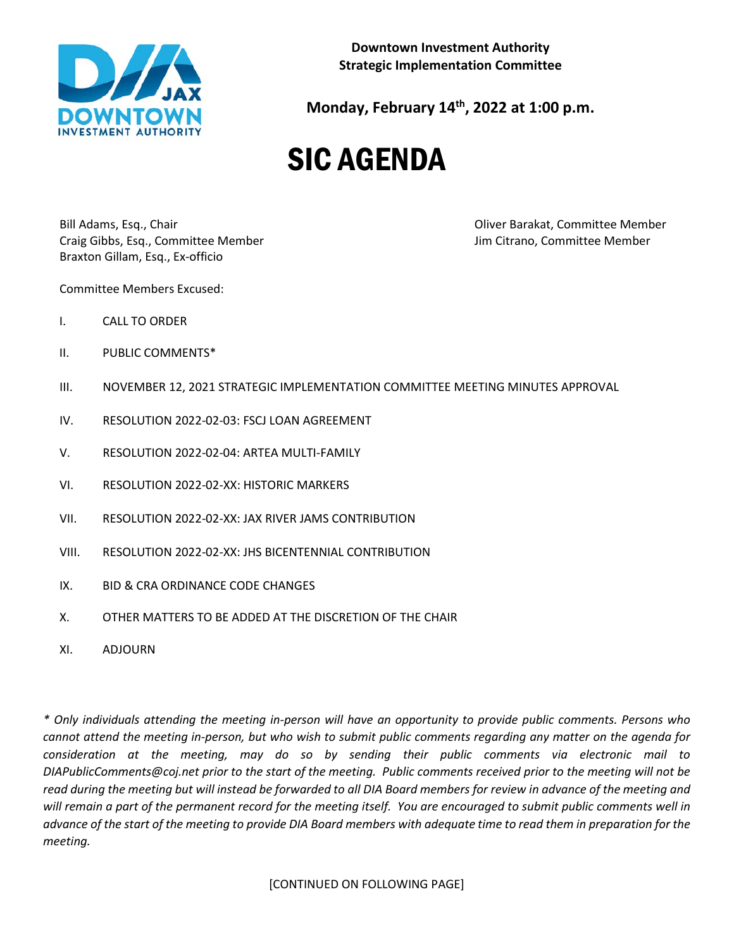

**Downtown Investment Authority Strategic Implementation Committee**

**Monday, February 14th, 2022 at 1:00 p.m.**

## SIC AGENDA

Bill Adams, Esq., Chair Oliver Barakat, Committee Member Craig Gibbs, Esq., Committee Member Jim Citrano, Committee Member Braxton Gillam, Esq., Ex-officio

Committee Members Excused:

- I. CALL TO ORDER
- II. PUBLIC COMMENTS\*
- III. NOVEMBER 12, 2021 STRATEGIC IMPLEMENTATION COMMITTEE MEETING MINUTES APPROVAL
- IV. RESOLUTION 2022-02-03: FSCJ LOAN AGREEMENT
- V. RESOLUTION 2022-02-04: ARTEA MULTI-FAMILY
- VI. RESOLUTION 2022-02-XX: HISTORIC MARKERS
- VII. RESOLUTION 2022-02-XX: JAX RIVER JAMS CONTRIBUTION
- VIII. RESOLUTION 2022-02-XX: JHS BICENTENNIAL CONTRIBUTION
- IX. BID & CRA ORDINANCE CODE CHANGES
- X. OTHER MATTERS TO BE ADDED AT THE DISCRETION OF THE CHAIR
- XI. ADJOURN

*\* Only individuals attending the meeting in-person will have an opportunity to provide public comments. Persons who cannot attend the meeting in-person, but who wish to submit public comments regarding any matter on the agenda for consideration at the meeting, may do so by sending their public comments via electronic mail to DIAPublicComments@coj.net prior to the start of the meeting. Public comments received prior to the meeting will not be read during the meeting but will instead be forwarded to all DIA Board members for review in advance of the meeting and will remain a part of the permanent record for the meeting itself. You are encouraged to submit public comments well in advance of the start of the meeting to provide DIA Board members with adequate time to read them in preparation for the meeting.*

[CONTINUED ON FOLLOWING PAGE]